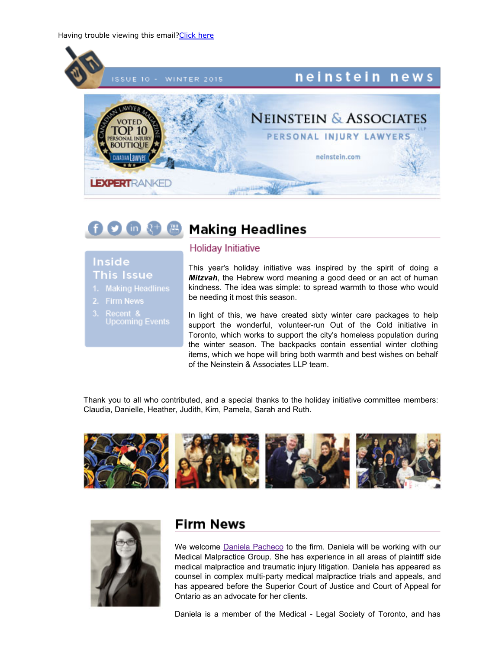

#### **FOM & & Making Headlines**

## **Inside This Issue**

- 
- 2. Firm News
- 3. Recent &

### Holiday Initiative

This year's holiday initiative was inspired by the spirit of doing a *Mitzvah*, the Hebrew word meaning a good deed or an act of human kindness. The idea was simple: to spread warmth to those who would be needing it most this season.

In light of this, we have created sixty winter care packages to help support the wonderful, volunteer-run Out of the Cold initiative in Toronto, which works to support the city's homeless population during the winter season. The backpacks contain essential winter clothing items, which we hope will bring both warmth and best wishes on behalf of the Neinstein & Associates LLP team.

Thank you to all who contributed, and a special thanks to the holiday initiative committee members: Claudia, Danielle, Heather, Judith, Kim, Pamela, Sarah and Ruth.





## **Firm News**

We welcome Daniela [Pacheco](http://www.neinstein.com/daniela-m-pacheco/) to the firm. Daniela will be working with our Medical Malpractice Group. She has experience in all areas of plaintiff side medical malpractice and traumatic injury litigation. Daniela has appeared as counsel in complex multi-party medical malpractice trials and appeals, and has appeared before the Superior Court of Justice and Court of Appeal for Ontario as an advocate for her clients.

Daniela is a member of the Medical - Legal Society of Toronto, and has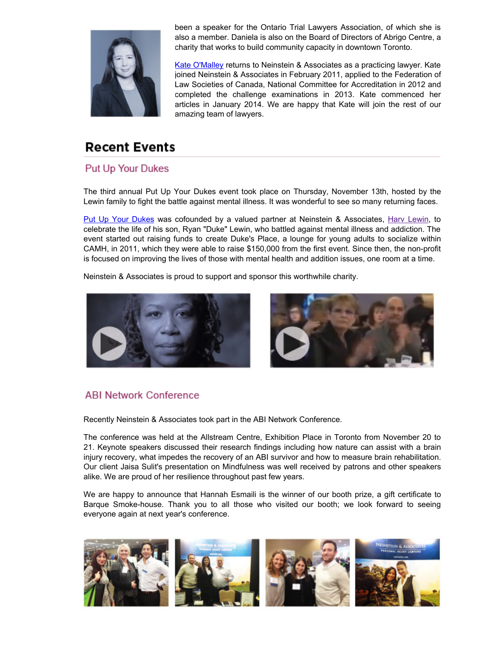

been a speaker for the Ontario Trial Lawyers Association, of which she is also a member. Daniela is also on the Board of Directors of Abrigo Centre, a charity that works to build community capacity in downtown Toronto.

Kate [O'Malley](http://www.neinstein.com/h-kate-omalley/) returns to Neinstein & Associates as a practicing lawyer. Kate joined Neinstein & Associates in February 2011, applied to the Federation of Law Societies of Canada, National Committee for Accreditation in 2012 and completed the challenge examinations in 2013. Kate commenced her articles in January 2014. We are happy that Kate will join the rest of our amazing team of lawyers.

## **Recent Events**

### **Put Up Your Dukes**

The third annual Put Up Your Dukes event took place on Thursday, November 13th, hosted by the Lewin family to fight the battle against mental illness. It was wonderful to see so many returning faces.

Put Up Your [Dukes](http://www.putupyourdukes.ca/) was cofounded by a valued partner at Neinstein & Associates, Harv [Lewin,](http://www.neinstein.com/harv_lewin/) to celebrate the life of his son, Ryan "Duke" Lewin, who battled against mental illness and addiction. The event started out raising funds to create Duke's Place, a lounge for young adults to socialize within CAMH, in 2011, which they were able to raise \$150,000 from the first event. Since then, the non-profit is focused on improving the lives of those with mental health and addition issues, one room at a time.

Neinstein & Associates is proud to support and sponsor this worthwhile charity.





## **ABI Network Conference**

Recently Neinstein & Associates took part in the ABI Network Conference.

The conference was held at the Allstream Centre, Exhibition Place in Toronto from November 20 to 21. Keynote speakers discussed their research findings including how nature can assist with a brain injury recovery, what impedes the recovery of an ABI survivor and how to measure brain rehabilitation. Our client Jaisa Sulit's presentation on Mindfulness was well received by patrons and other speakers alike. We are proud of her resilience throughout past few years.

We are happy to announce that Hannah Esmaili is the winner of our booth prize, a gift certificate to Barque Smoke-house. Thank you to all those who visited our booth; we look forward to seeing everyone again at next year's conference.